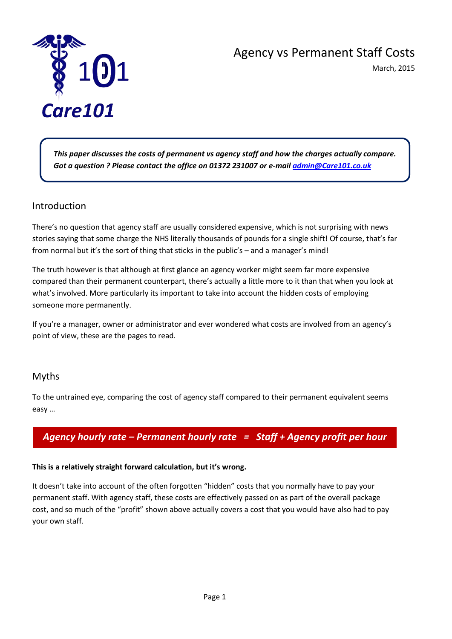

# Agency vs Permanent Staff Costs

March, 2015

*This paper discusses the costs of permanent vs agency staff and how the charges actually compare. Got a question ? Please contact the office on 01372 231007 or e-mai[l admin@Care101.co.uk](mailto:admin@Care101.co.uk)*

֦

## Introduction

There's no question that agency staff are usually considered expensive, which is not surprising with news stories saying that some charge the NHS literally thousands of pounds for a single shift! Of course, that's far from normal but it's the sort of thing that sticks in the public's – and a manager's mind!

The truth however is that although at first glance an agency worker might seem far more expensive compared than their permanent counterpart, there's actually a little more to it than that when you look at what's involved. More particularly its important to take into account the hidden costs of employing someone more permanently.

If you're a manager, owner or administrator and ever wondered what costs are involved from an agency's point of view, these are the pages to read.

## Myths

To the untrained eye, comparing the cost of agency staff compared to their permanent equivalent seems easy …

## *Agency hourly rate – Permanent hourly rate = Staff + Agency profit per hour*

## **This is a relatively straight forward calculation, but it's wrong.**

It doesn't take into account of the often forgotten "hidden" costs that you normally have to pay your permanent staff. With agency staff, these costs are effectively passed on as part of the overall package cost, and so much of the "profit" shown above actually covers a cost that you would have also had to pay your own staff.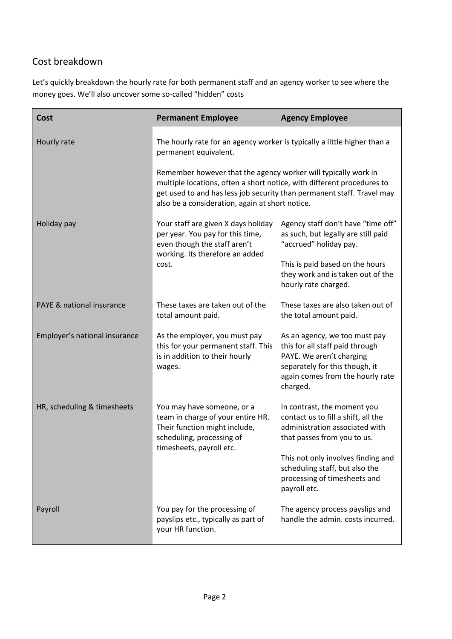## Cost breakdown

Let's quickly breakdown the hourly rate for both permanent staff and an agency worker to see where the money goes. We'll also uncover some so-called "hidden" costs

| <u>Cost</u>                   | <b>Permanent Employee</b>                                                                                                                                                                                                                                             | <b>Agency Employee</b>                                                                                                                                                         |
|-------------------------------|-----------------------------------------------------------------------------------------------------------------------------------------------------------------------------------------------------------------------------------------------------------------------|--------------------------------------------------------------------------------------------------------------------------------------------------------------------------------|
| Hourly rate                   | The hourly rate for an agency worker is typically a little higher than a<br>permanent equivalent.                                                                                                                                                                     |                                                                                                                                                                                |
|                               | Remember however that the agency worker will typically work in<br>multiple locations, often a short notice, with different procedures to<br>get used to and has less job security than permanent staff. Travel may<br>also be a consideration, again at short notice. |                                                                                                                                                                                |
| Holiday pay                   | Your staff are given X days holiday<br>per year. You pay for this time,<br>even though the staff aren't<br>working. Its therefore an added<br>cost.                                                                                                                   | Agency staff don't have "time off"<br>as such, but legally are still paid<br>"accrued" holiday pay.                                                                            |
|                               |                                                                                                                                                                                                                                                                       | This is paid based on the hours<br>they work and is taken out of the<br>hourly rate charged.                                                                                   |
| PAYE & national insurance     | These taxes are taken out of the<br>total amount paid.                                                                                                                                                                                                                | These taxes are also taken out of<br>the total amount paid.                                                                                                                    |
| Employer's national insurance | As the employer, you must pay<br>this for your permanent staff. This<br>is in addition to their hourly<br>wages.                                                                                                                                                      | As an agency, we too must pay<br>this for all staff paid through<br>PAYE. We aren't charging<br>separately for this though, it<br>again comes from the hourly rate<br>charged. |
| HR, scheduling & timesheets   | You may have someone, or a<br>team in charge of your entire HR.<br>Their function might include,<br>scheduling, processing of<br>timesheets, payroll etc.                                                                                                             | In contrast, the moment you<br>contact us to fill a shift, all the<br>administration associated with<br>that passes from you to us.                                            |
|                               |                                                                                                                                                                                                                                                                       | This not only involves finding and<br>scheduling staff, but also the<br>processing of timesheets and<br>payroll etc.                                                           |
| Payroll                       | You pay for the processing of<br>payslips etc., typically as part of<br>your HR function.                                                                                                                                                                             | The agency process payslips and<br>handle the admin. costs incurred.                                                                                                           |